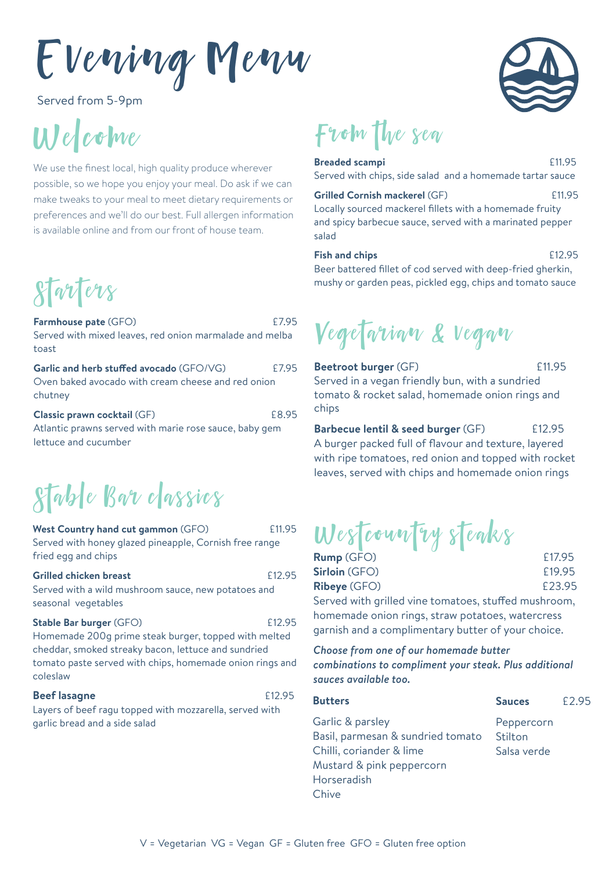# E vening Menu

Served from 5-9pm

# Welcome

We use the finest local, high quality produce wherever possible, so we hope you enjoy your meal. Do ask if we can make tweaks to your meal to meet dietary requirements or preferences and we'll do our best. Full allergen information is available online and from our front of house team.



**Farmhouse pate** (GFO) **E7.95** Served with mixed leaves, red onion marmalade and melba toast

Garlic and herb stuffed avocado (GFO/VG) E7.95 Oven baked avocado with cream cheese and red onion chutney

**Classic prawn cocktail (GF)**  $£8.95$ Atlantic prawns served with marie rose sauce, baby gem lettuce and cucumber

Stable Bar classics

**West Country hand cut gammon (GFO)**  $£11.95$ Served with honey glazed pineapple, Cornish free range fried egg and chips

**Grilled chicken breast**  $£12.95$ Served with a wild mushroom sauce, new potatoes and seasonal vegetables

**Stable Bar burger** (GFO) **E12.95** Homemade 200g prime steak burger, topped with melted cheddar, smoked streaky bacon, lettuce and sundried tomato paste served with chips, homemade onion rings and coleslaw

#### **Beef lasagne** £12.95

Layers of beef ragu topped with mozzarella, served with garlic bread and a side salad

From The sea

| <b>Breaded scampi</b><br>Served with chips, side salad and a homemade tartar sauce | £11.95 |
|------------------------------------------------------------------------------------|--------|
| <b>Grilled Cornish mackerel (GF)</b>                                               | £11.95 |
| Locally sourced mackerel fillets with a homemade fruity                            |        |
| and spicy barbecue sauce, served with a marinated pepper                           |        |

salad

**Fish and chips**  $£12.95$ Beer battered fillet of cod served with deep-fried gherkin, mushy or garden peas, pickled egg, chips and tomato sauce

Vegetarian & vegan

**Beetroot burger** (GF) 611.95 Served in a vegan friendly bun, with a sundried tomato & rocket salad, homemade onion rings and chips

**Barbecue lentil & seed burger** (GF)  $£12.95$ A burger packed full of flavour and texture, layered with ripe tomatoes, red onion and topped with rocket leaves, served with chips and homemade onion rings

Westcountry steaks

| Rump(GFO)                                          | £17.95 |
|----------------------------------------------------|--------|
| <b>Sirloin</b> (GFO)                               | £19.95 |
| <b>Ribeye</b> (GFO)                                | £23.95 |
| Served with arilled vine tomatoes stuffed mushroom |        |

Served with grilled vine tomatoes, stuffed mushroom, homemade onion rings, straw potatoes, watercress garnish and a complimentary butter of your choice.

*Choose from one of our homemade butter combinations to compliment your steak. Plus additional sauces available too.* 

| <b>Butters</b>                    | <b>Sauces</b> | £2.95 |
|-----------------------------------|---------------|-------|
| Garlic & parsley                  | Peppercorn    |       |
| Basil, parmesan & sundried tomato | Stilton       |       |
| Chilli, coriander & lime          | Salsa verde   |       |
| Mustard & pink peppercorn         |               |       |
| Horseradish                       |               |       |
| Chive                             |               |       |